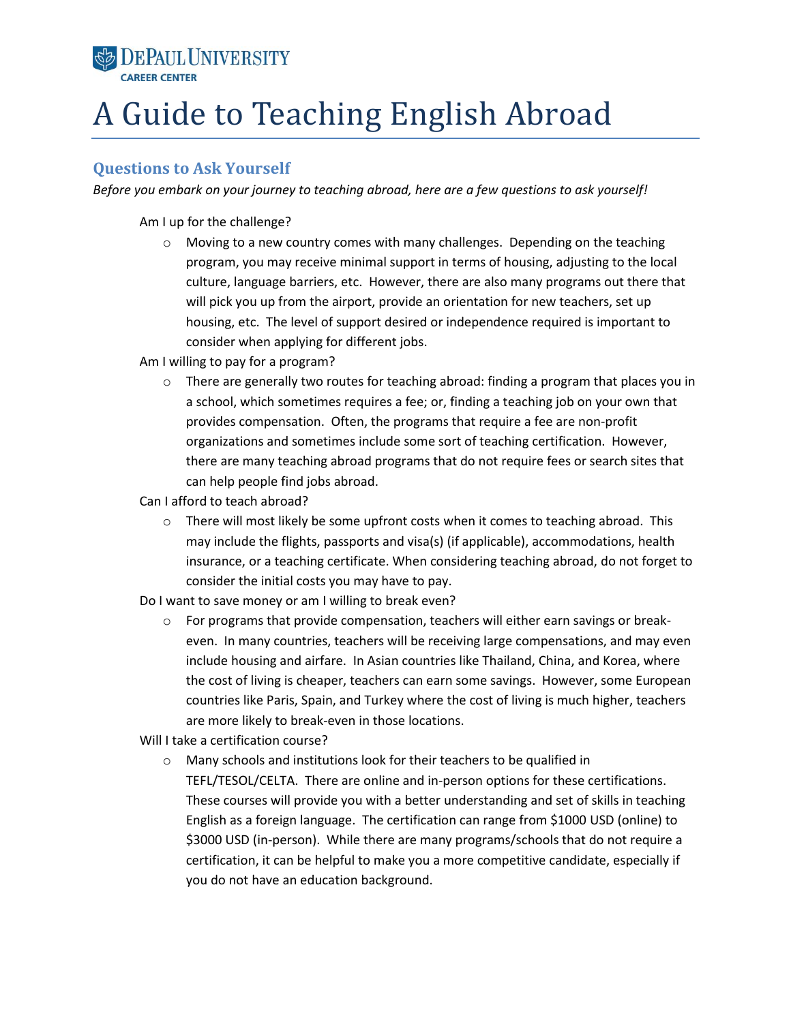# **SE DEPAUL UNIVERSITY**

# A Guide to Teaching English Abroad

# **Questions to Ask Yourself**

*Before you embark on your journey to teaching abroad, here are a few questions to ask yourself!* 

Am I up for the challenge?

 $\circ$  Moving to a new country comes with many challenges. Depending on the teaching program, you may receive minimal support in terms of housing, adjusting to the local culture, language barriers, etc. However, there are also many programs out there that will pick you up from the airport, provide an orientation for new teachers, set up housing, etc. The level of support desired or independence required is important to consider when applying for different jobs.

Am I willing to pay for a program?

o There are generally two routes for teaching abroad: finding a program that places you in a school, which sometimes requires a fee; or, finding a teaching job on your own that provides compensation. Often, the programs that require a fee are non-profit organizations and sometimes include some sort of teaching certification. However, there are many teaching abroad programs that do not require fees or search sites that can help people find jobs abroad.

Can I afford to teach abroad?

 $\circ$  There will most likely be some upfront costs when it comes to teaching abroad. This may include the flights, passports and visa(s) (if applicable), accommodations, health insurance, or a teaching certificate. When considering teaching abroad, do not forget to consider the initial costs you may have to pay.

Do I want to save money or am I willing to break even?

 $\circ$  For programs that provide compensation, teachers will either earn savings or breakeven. In many countries, teachers will be receiving large compensations, and may even include housing and airfare. In Asian countries like Thailand, China, and Korea, where the cost of living is cheaper, teachers can earn some savings. However, some European countries like Paris, Spain, and Turkey where the cost of living is much higher, teachers are more likely to break-even in those locations.

Will I take a certification course?

o Many schools and institutions look for their teachers to be qualified in TEFL/TESOL/CELTA. There are online and in-person options for these certifications. These courses will provide you with a better understanding and set of skills in teaching English as a foreign language. The certification can range from \$1000 USD (online) to \$3000 USD (in-person). While there are many programs/schools that do not require a certification, it can be helpful to make you a more competitive candidate, especially if you do not have an education background.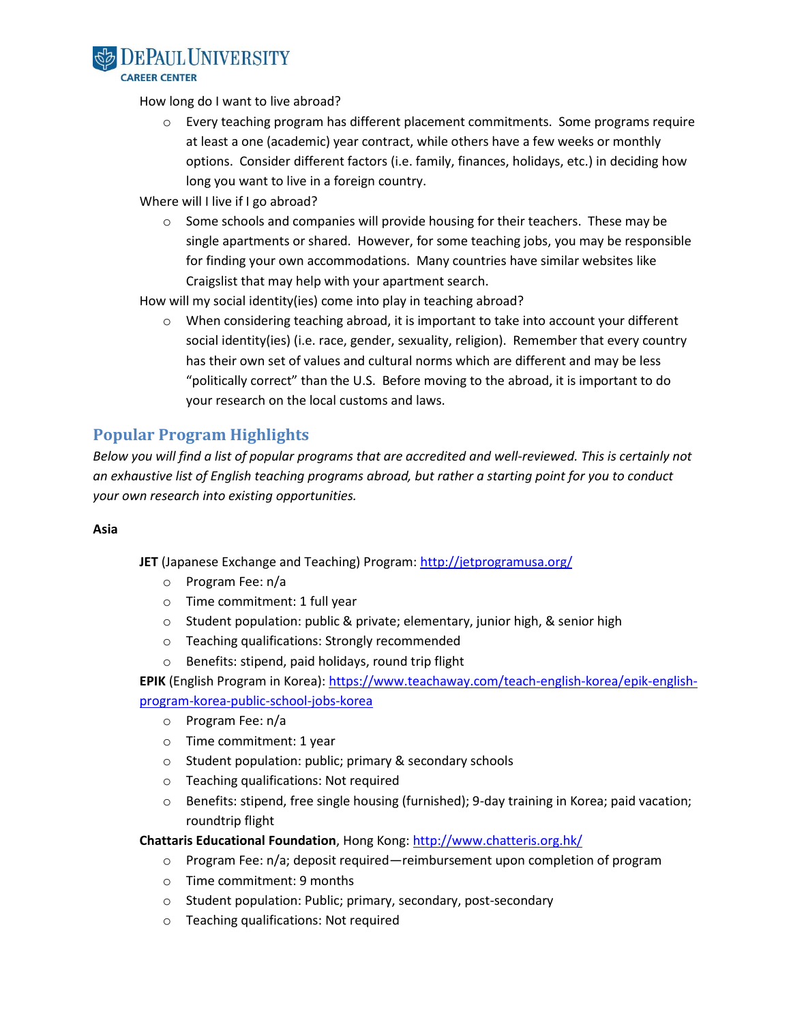

How long do I want to live abroad?

- $\circ$  Every teaching program has different placement commitments. Some programs require at least a one (academic) year contract, while others have a few weeks or monthly options. Consider different factors (i.e. family, finances, holidays, etc.) in deciding how long you want to live in a foreign country.
- Where will I live if I go abroad?
	- $\circ$  Some schools and companies will provide housing for their teachers. These may be single apartments or shared. However, for some teaching jobs, you may be responsible for finding your own accommodations. Many countries have similar websites like Craigslist that may help with your apartment search.
- How will my social identity(ies) come into play in teaching abroad?
	- $\circ$  When considering teaching abroad, it is important to take into account your different social identity(ies) (i.e. race, gender, sexuality, religion). Remember that every country has their own set of values and cultural norms which are different and may be less "politically correct" than the U.S. Before moving to the abroad, it is important to do your research on the local customs and laws.

# **Popular Program Highlights**

*Below you will find a list of popular programs that are accredited and well-reviewed. This is certainly not an exhaustive list of English teaching programs abroad, but rather a starting point for you to conduct your own research into existing opportunities.* 

#### **Asia**

**JET** (Japanese Exchange and Teaching) Program:<http://jetprogramusa.org/>

- o Program Fee: n/a
- o Time commitment: 1 full year
- o Student population: public & private; elementary, junior high, & senior high
- o Teaching qualifications: Strongly recommended
- o Benefits: stipend, paid holidays, round trip flight

**EPIK** (English Program in Korea)[: https://www.teachaway.com/teach-english-korea/epik-english](https://www.teachaway.com/teach-english-korea/epik-english-program-korea-public-school-jobs-korea)[program-korea-public-school-jobs-korea](https://www.teachaway.com/teach-english-korea/epik-english-program-korea-public-school-jobs-korea)

- o Program Fee: n/a
- o Time commitment: 1 year
- o Student population: public; primary & secondary schools
- o Teaching qualifications: Not required
- o Benefits: stipend, free single housing (furnished); 9-day training in Korea; paid vacation; roundtrip flight

**Chattaris Educational Foundation**, Hong Kong[: http://www.chatteris.org.hk/](http://www.chatteris.org.hk/)

- $\circ$  Program Fee:  $n/a$ ; deposit required—reimbursement upon completion of program
- o Time commitment: 9 months
- o Student population: Public; primary, secondary, post-secondary
- o Teaching qualifications: Not required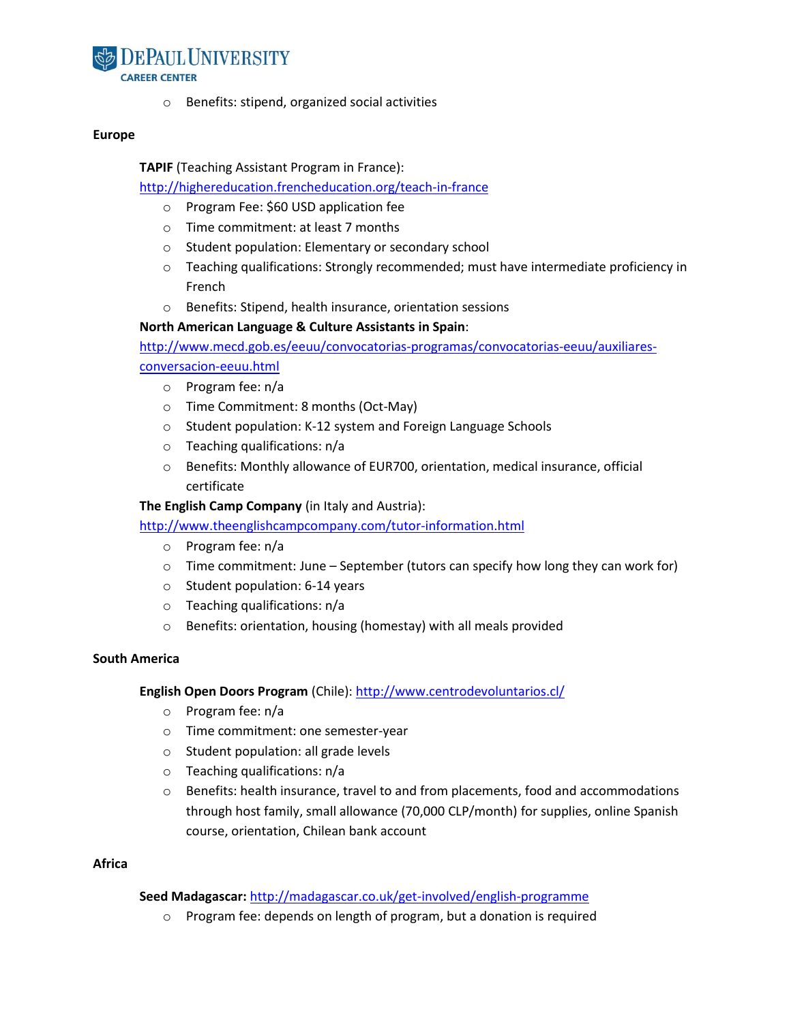

o Benefits: stipend, organized social activities

#### **Europe**

**TAPIF** (Teaching Assistant Program in France):

### <http://highereducation.frencheducation.org/teach-in-france>

- o Program Fee: \$60 USD application fee
- o Time commitment: at least 7 months
- o Student population: Elementary or secondary school
- o Teaching qualifications: Strongly recommended; must have intermediate proficiency in French
- o Benefits: Stipend, health insurance, orientation sessions

#### **North American Language & Culture Assistants in Spain**:

[http://www.mecd.gob.es/eeuu/convocatorias-programas/convocatorias-eeuu/auxiliares](http://www.mecd.gob.es/eeuu/convocatorias-programas/convocatorias-eeuu/auxiliares-conversacion-eeuu.html)[conversacion-eeuu.html](http://www.mecd.gob.es/eeuu/convocatorias-programas/convocatorias-eeuu/auxiliares-conversacion-eeuu.html)

o Program fee: n/a

- o Time Commitment: 8 months (Oct-May)
- o Student population: K-12 system and Foreign Language Schools
- o Teaching qualifications: n/a
- o Benefits: Monthly allowance of EUR700, orientation, medical insurance, official certificate

**The English Camp Company** (in Italy and Austria):

<http://www.theenglishcampcompany.com/tutor-information.html>

- o Program fee: n/a
- $\circ$  Time commitment: June September (tutors can specify how long they can work for)
- o Student population: 6-14 years
- o Teaching qualifications: n/a
- o Benefits: orientation, housing (homestay) with all meals provided

#### **South America**

#### **English Open Doors Program** (Chile): <http://www.centrodevoluntarios.cl/>

- o Program fee: n/a
- o Time commitment: one semester-year
- o Student population: all grade levels
- o Teaching qualifications: n/a
- $\circ$  Benefits: health insurance, travel to and from placements, food and accommodations through host family, small allowance (70,000 CLP/month) for supplies, online Spanish course, orientation, Chilean bank account

#### **Africa**

#### **Seed Madagascar:** <http://madagascar.co.uk/get-involved/english-programme>

o Program fee: depends on length of program, but a donation is required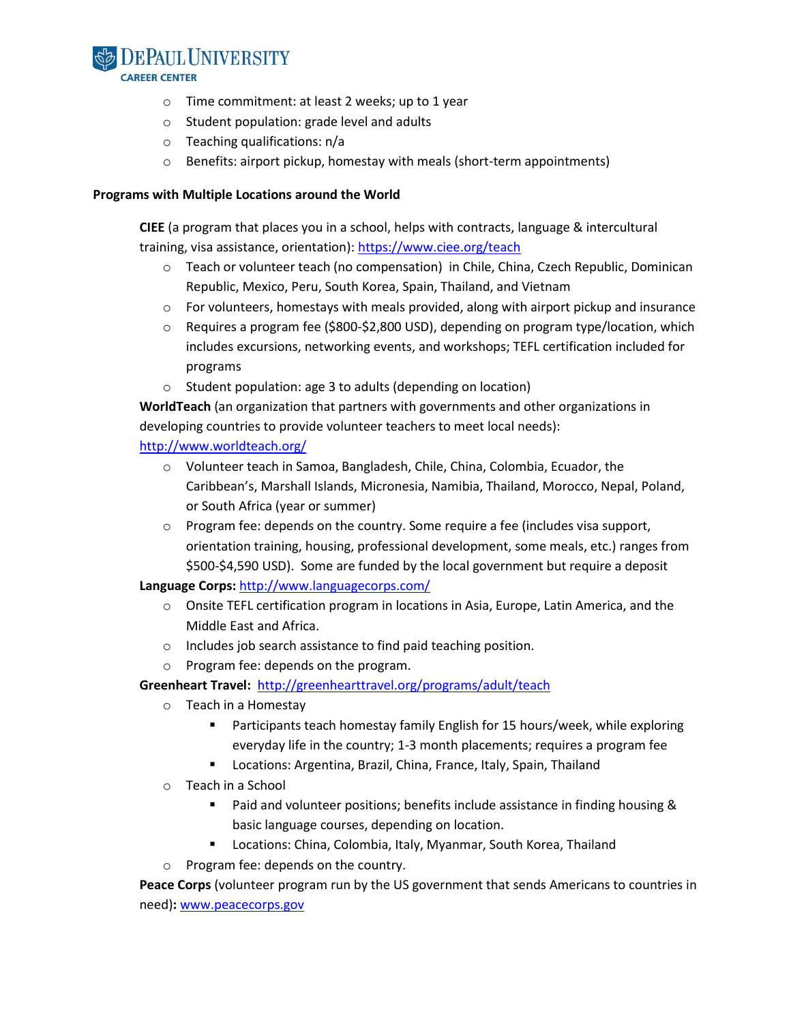

#### **CAREER CENTER**

- o Time commitment: at least 2 weeks; up to 1 year
- o Student population: grade level and adults
- o Teaching qualifications: n/a
- o Benefits: airport pickup, homestay with meals (short-term appointments)

#### **Programs with Multiple Locations around the World**

**CIEE** (a program that places you in a school, helps with contracts, language & intercultural training, visa assistance, orientation): https://www.ciee.org/teach

- o Teach or volunteer teach (no compensation) in Chile, China, Czech Republic, Dominican Republic, Mexico, Peru, South Korea, Spain, Thailand, and Vietnam
- $\circ$  For volunteers, homestays with meals provided, along with airport pickup and insurance
- $\circ$  Requires a program fee (\$800-\$2,800 USD), depending on program type/location, which includes excursions, networking events, and workshops; TEFL certification included for programs
- o Student population: age 3 to adults (depending on location)

**WorldTeach** (an organization that partners with governments and other organizations in developing countries to provide volunteer teachers to meet local needs):

### <http://www.worldteach.org/>

- o Volunteer teach in Samoa, Bangladesh, Chile, China, Colombia, Ecuador, the Caribbean's, Marshall Islands, Micronesia, Namibia, Thailand, Morocco, Nepal, Poland, or South Africa (year or summer)
- $\circ$  Program fee: depends on the country. Some require a fee (includes visa support, orientation training, housing, professional development, some meals, etc.) ranges from \$500-\$4,590 USD). Some are funded by the local government but require a deposit

### **Language Corps:** <http://www.languagecorps.com/>

- $\circ$  Onsite TEFL certification program in locations in Asia, Europe, Latin America, and the Middle East and Africa.
- o Includes job search assistance to find paid teaching position.
- o Program fee: depends on the program.

### **Greenheart Travel:** <http://greenhearttravel.org/programs/adult/teach>

- o Teach in a Homestay
	- Participants teach homestay family English for 15 hours/week, while exploring everyday life in the country; 1-3 month placements; requires a program fee
	- **E** Locations: Argentina, Brazil, China, France, Italy, Spain, Thailand
- o Teach in a School
	- **Paid and volunteer positions; benefits include assistance in finding housing &** basic language courses, depending on location.
	- **E** Locations: China, Colombia, Italy, Myanmar, South Korea, Thailand
- o Program fee: depends on the country.

**Peace Corps** (volunteer program run by the US government that sends Americans to countries in need)**:** [www.peacecorps.gov](http://www.peacecorps.gov/)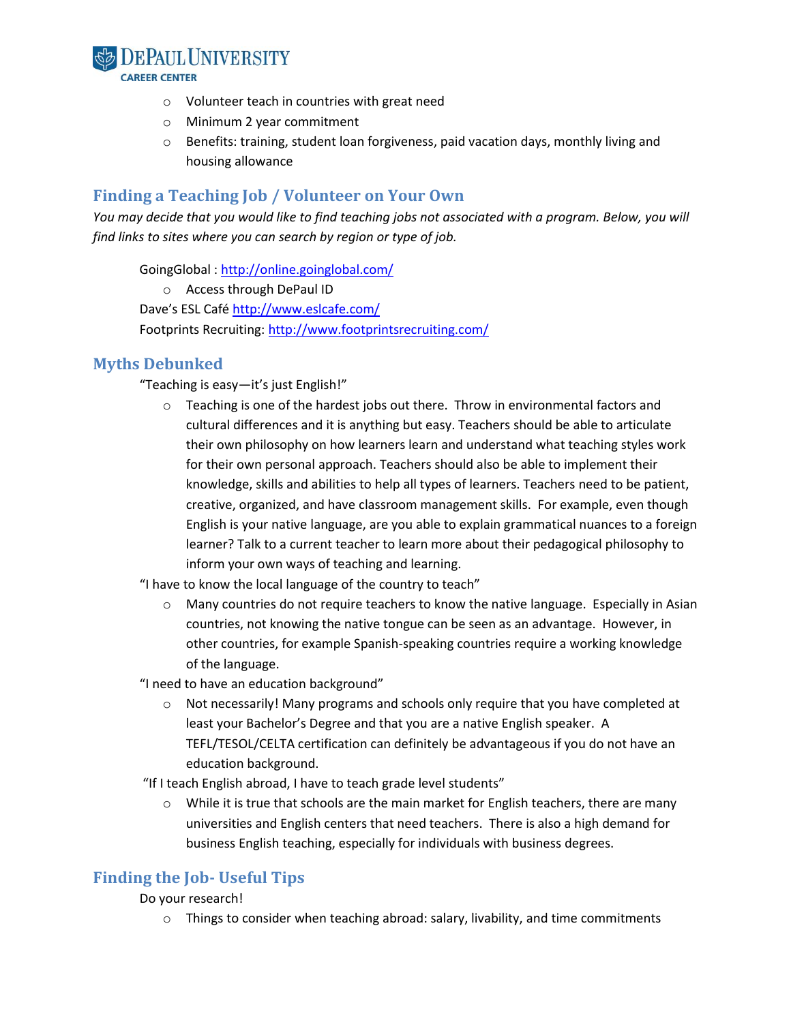

- o Volunteer teach in countries with great need
- o Minimum 2 year commitment
- o Benefits: training, student loan forgiveness, paid vacation days, monthly living and housing allowance

## **Finding a Teaching Job / Volunteer on Your Own**

*You may decide that you would like to find teaching jobs not associated with a program. Below, you will find links to sites where you can search by region or type of job.* 

GoingGlobal :<http://online.goinglobal.com/>

o Access through DePaul ID

Dave's ESL Café<http://www.eslcafe.com/> Footprints Recruiting[: http://www.footprintsrecruiting.com/](http://www.footprintsrecruiting.com/)

## **Myths Debunked**

"Teaching is easy—it's just English!"

 $\circ$  Teaching is one of the hardest jobs out there. Throw in environmental factors and cultural differences and it is anything but easy. Teachers should be able to articulate their own philosophy on how learners learn and understand what teaching styles work for their own personal approach. Teachers should also be able to implement their knowledge, skills and abilities to help all types of learners. Teachers need to be patient, creative, organized, and have classroom management skills. For example, even though English is your native language, are you able to explain grammatical nuances to a foreign learner? Talk to a current teacher to learn more about their pedagogical philosophy to inform your own ways of teaching and learning.

"I have to know the local language of the country to teach"

o Many countries do not require teachers to know the native language. Especially in Asian countries, not knowing the native tongue can be seen as an advantage. However, in other countries, for example Spanish-speaking countries require a working knowledge of the language.

"I need to have an education background"

 $\circ$  Not necessarily! Many programs and schools only require that you have completed at least your Bachelor's Degree and that you are a native English speaker. A TEFL/TESOL/CELTA certification can definitely be advantageous if you do not have an education background.

"If I teach English abroad, I have to teach grade level students"

While it is true that schools are the main market for English teachers, there are many universities and English centers that need teachers. There is also a high demand for business English teaching, especially for individuals with business degrees.

# **Finding the Job- Useful Tips**

Do your research!

 $\circ$  Things to consider when teaching abroad: salary, livability, and time commitments